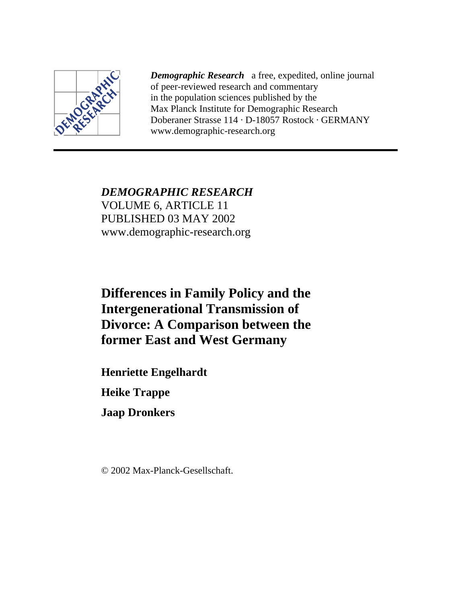

*Demographic Research* a free, expedited, online journal of peer-reviewed research and commentary in the population sciences published by the Max Planck Institute for Demographic Research Doberaner Strasse 114 · D-18057 Rostock · GERMANY www.demographic-research.org

*DEMOGRAPHIC RESEARCH* VOLUME 6, ARTICLE 11 PUBLISHED 03 MAY 2002 www.demographic-research.org

# **Differences in Family Policy and the Intergenerational Transmission of Divorce: A Comparison between the former East and West Germany**

**Henriette Engelhardt**

**Heike Trappe**

**Jaap Dronkers**

© 2002 Max-Planck-Gesellschaft.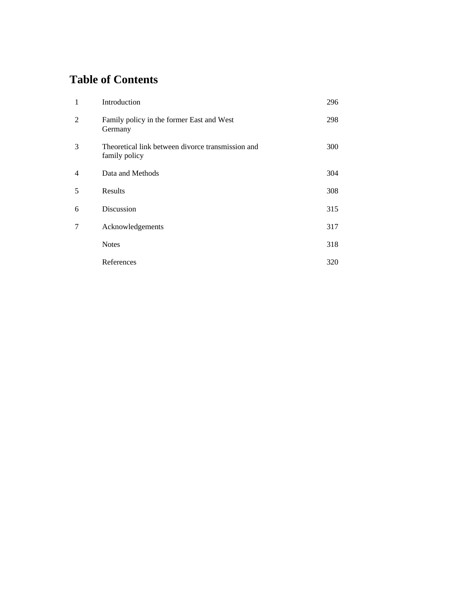# **Table of Contents**

| $\mathbf{1}$   | Introduction                                                       | 296 |
|----------------|--------------------------------------------------------------------|-----|
| $\overline{2}$ | Family policy in the former East and West<br>Germany               | 298 |
| 3              | Theoretical link between divorce transmission and<br>family policy | 300 |
| 4              | Data and Methods                                                   | 304 |
| 5              | Results                                                            | 308 |
| 6              | Discussion                                                         | 315 |
| 7              | Acknowledgements                                                   | 317 |
|                | <b>Notes</b>                                                       | 318 |
|                | References                                                         | 320 |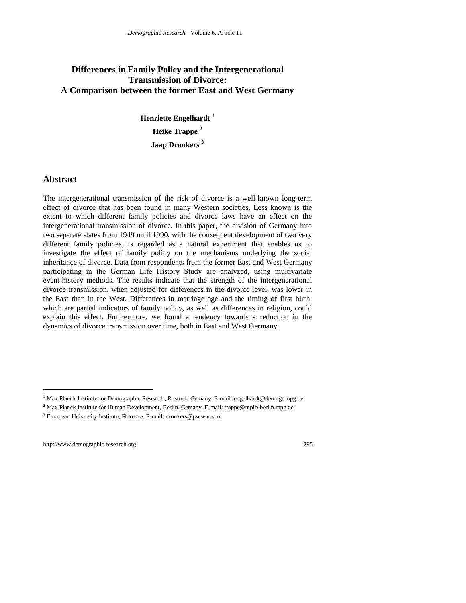# **Differences in Family Policy and the Intergenerational Transmission of Divorce: A Comparison between the former East and West Germany**

**Henriette Engelhardt <sup>1</sup> Heike Trappe <sup>2</sup> Jaap Dronkers <sup>3</sup>**

# **Abstract**

The intergenerational transmission of the risk of divorce is a well-known long-term effect of divorce that has been found in many Western societies. Less known is the extent to which different family policies and divorce laws have an effect on the intergenerational transmission of divorce. In this paper, the division of Germany into two separate states from 1949 until 1990, with the consequent development of two very different family policies*,* is regarded as a natural experiment that enables us to investigate the effect of family policy on the mechanisms underlying the social inheritance of divorce. Data from respondents from the former East and West Germany participating in the German Life History Study are analyzed, using multivariate event-history methods. The results indicate that the strength of the intergenerational divorce transmission, when adjusted for differences in the divorce level, was lower in the East than in the West. Differences in marriage age and the timing of first birth, which are partial indicators of family policy, as well as differences in religion, could explain this effect. Furthermore, we found a tendency towards a reduction in the dynamics of divorce transmission over time, both in East and West Germany.

 $\overline{a}$ 

<sup>&</sup>lt;sup>1</sup> Max Planck Institute for Demographic Research, Rostock, Gemany. E-mail: engelhardt@demogr.mpg.de

<sup>&</sup>lt;sup>2</sup> Max Planck Institute for Human Development, Berlin, Gemany. E-mail: trappe@mpib-berlin.mpg.de

<sup>&</sup>lt;sup>3</sup> European University Institute, Florence. E-mail: dronkers@pscw.uva.nl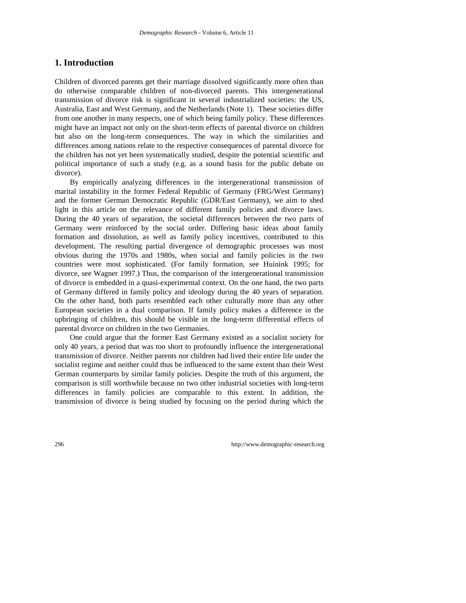# **1. Introduction**

Children of divorced parents get their marriage dissolved significantly more often than do otherwise comparable children of non-divorced parents. This intergenerational transmission of divorce risk is significant in several industrialized societies: the US, Australia, East and West Germany, and the Netherlands (Note 1). These societies differ from one another in many respects, one of which being family policy. These differences might have an impact not only on the short-term effects of parental divorce on children but also on the long-term consequences. The way in which the similarities and differences among nations relate to the respective consequences of parental divorce for the children has not yet been systematically studied, despite the potential scientific and political importance of such a study (e.g. as a sound basis for the public debate on divorce).

By empirically analyzing differences in the intergenerational transmission of marital instability in the former Federal Republic of Germany (FRG/West Germany) and the former German Democratic Republic (GDR/East Germany), we aim to shed light in this article on the relevance of different family policies and divorce laws. During the 40 years of separation, the societal differences between the two parts of Germany were reinforced by the social order. Differing basic ideas about family formation and dissolution, as well as family policy incentives, contributed to this development. The resulting partial divergence of demographic processes was most obvious during the 1970s and 1980s, when social and family policies in the two countries were most sophisticated. (For family formation, see Huinink 1995; for divorce, see Wagner 1997.) Thus, the comparison of the intergenerational transmission of divorce is embedded in a quasi-experimental context. On the one hand, the two parts of Germany differed in family policy and ideology during the 40 years of separation. On the other hand, both parts resembled each other culturally more than any other European societies in a dual comparison. If family policy makes a difference in the upbringing of children, this should be visible in the long-term differential effects of parental divorce on children in the two Germanies.

One could argue that the former East Germany existed as a socialist society for only 40 years, a period that was too short to profoundly influence the intergenerational transmission of divorce. Neither parents nor children had lived their entire life under the socialist regime and neither could thus be influenced to the same extent than their West German counterparts by similar family policies. Despite the truth of this argument, the comparison is still worthwhile because no two other industrial societies with long-term differences in family policies are comparable to this extent. In addition, the transmission of divorce is being studied by focusing on the period during which the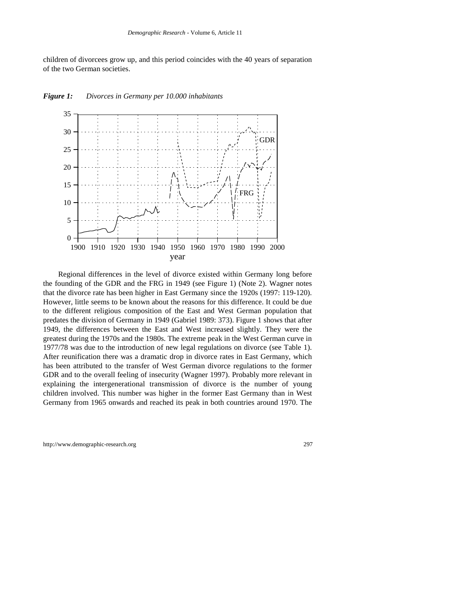children of divorcees grow up, and this period coincides with the 40 years of separation of the two German societies.



#### *Figure 1: Divorces in Germany per 10.000 inhabitants*

Regional differences in the level of divorce existed within Germany long before the founding of the GDR and the FRG in 1949 (see Figure 1) (Note 2). Wagner notes that the divorce rate has been higher in East Germany since the 1920s (1997: 119-120). However, little seems to be known about the reasons for this difference. It could be due to the different religious composition of the East and West German population that predates the division of Germany in 1949 (Gabriel 1989: 373). Figure 1 shows that after 1949, the differences between the East and West increased slightly. They were the greatest during the 1970s and the 1980s. The extreme peak in the West German curve in 1977/78 was due to the introduction of new legal regulations on divorce (see Table 1). After reunification there was a dramatic drop in divorce rates in East Germany, which has been attributed to the transfer of West German divorce regulations to the former GDR and to the overall feeling of insecurity (Wagner 1997). Probably more relevant in explaining the intergenerational transmission of divorce is the number of young children involved. This number was higher in the former East Germany than in West Germany from 1965 onwards and reached its peak in both countries around 1970. The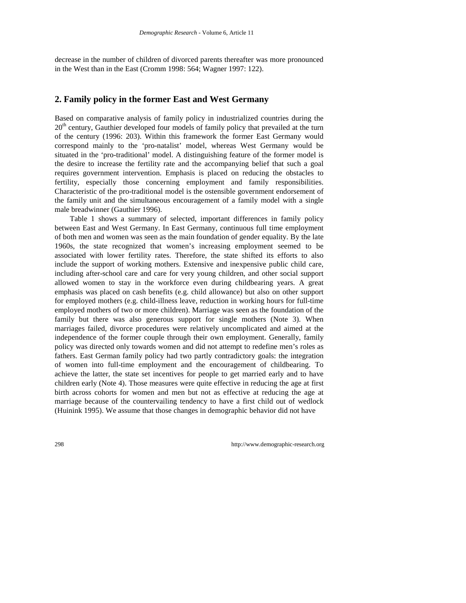decrease in the number of children of divorced parents thereafter was more pronounced in the West than in the East (Cromm 1998: 564; Wagner 1997: 122).

# **2. Family policy in the former East and West Germany**

Based on comparative analysis of family policy in industrialized countries during the  $20<sup>th</sup>$  century, Gauthier developed four models of family policy that prevailed at the turn of the century (1996: 203). Within this framework the former East Germany would correspond mainly to the 'pro-natalist' model, whereas West Germany would be situated in the 'pro-traditional' model. A distinguishing feature of the former model is the desire to increase the fertility rate and the accompanying belief that such a goal requires government intervention. Emphasis is placed on reducing the obstacles to fertility, especially those concerning employment and family responsibilities. Characteristic of the pro-traditional model is the ostensible government endorsement of the family unit and the simultaneous encouragement of a family model with a single male breadwinner (Gauthier 1996).

Table 1 shows a summary of selected, important differences in family policy between East and West Germany. In East Germany, continuous full time employment of both men and women was seen as the main foundation of gender equality. By the late 1960s, the state recognized that women's increasing employment seemed to be associated with lower fertility rates. Therefore, the state shifted its efforts to also include the support of working mothers. Extensive and inexpensive public child care, including after-school care and care for very young children, and other social support allowed women to stay in the workforce even during childbearing years. A great emphasis was placed on cash benefits (e.g. child allowance) but also on other support for employed mothers (e.g. child-illness leave, reduction in working hours for full-time employed mothers of two or more children). Marriage was seen as the foundation of the family but there was also generous support for single mothers (Note 3). When marriages failed, divorce procedures were relatively uncomplicated and aimed at the independence of the former couple through their own employment. Generally, family policy was directed only towards women and did not attempt to redefine men's roles as fathers. East German family policy had two partly contradictory goals: the integration of women into full-time employment and the encouragement of childbearing. To achieve the latter, the state set incentives for people to get married early and to have children early (Note 4). Those measures were quite effective in reducing the age at first birth across cohorts for women and men but not as effective at reducing the age at marriage because of the countervailing tendency to have a first child out of wedlock (Huinink 1995). We assume that those changes in demographic behavior did not have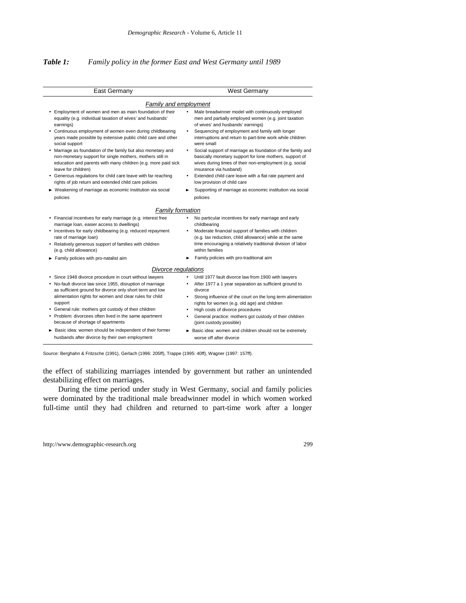## *Table 1: Family policy in the former East and West Germany until 1989*

| East Germany                                                                                                                                                                                                                                                                                                                                                                                                                                                                                                                                                                                                                 | West Germany                                                                                                                                                                                                                                                                                                                                                                                                                                                                                                                                                                                                   |
|------------------------------------------------------------------------------------------------------------------------------------------------------------------------------------------------------------------------------------------------------------------------------------------------------------------------------------------------------------------------------------------------------------------------------------------------------------------------------------------------------------------------------------------------------------------------------------------------------------------------------|----------------------------------------------------------------------------------------------------------------------------------------------------------------------------------------------------------------------------------------------------------------------------------------------------------------------------------------------------------------------------------------------------------------------------------------------------------------------------------------------------------------------------------------------------------------------------------------------------------------|
| <b>Family and employment</b>                                                                                                                                                                                                                                                                                                                                                                                                                                                                                                                                                                                                 |                                                                                                                                                                                                                                                                                                                                                                                                                                                                                                                                                                                                                |
| Employment of women and men as main foundation of their<br>equality (e.g. individual taxation of wives' and husbands'<br>earnings)<br>• Continuous employment of women even during childbearing<br>years made possible by extensive public child care and other<br>social support<br>Marriage as foundation of the family but also monetary and<br>non-monetary support for single mothers, mothers still in<br>education and parents with many children (e.g. more paid sick<br>leave for children)<br>Generous regulations for child care leave with far reaching<br>rights of job return and extended child care policies | Male breadwinner model with continuously employed<br>$\bullet$<br>men and partially employed women (e.g. joint taxation<br>of wives' and husbands' earnings)<br>Sequencing of employment and family with longer<br>$\bullet$<br>interruptions and return to part-time work while children<br>were small<br>Social support of marriage as foundation of the family and<br>basically monetary support for lone mothers, support of<br>wives during times of their non-employment (e.g. social<br>insurance via husband)<br>Extended child care leave with a flat rate payment and<br>low provision of child care |
| Weakening of marriage as economic institution via social                                                                                                                                                                                                                                                                                                                                                                                                                                                                                                                                                                     | Supporting of marriage as economic institution via social                                                                                                                                                                                                                                                                                                                                                                                                                                                                                                                                                      |
| policies                                                                                                                                                                                                                                                                                                                                                                                                                                                                                                                                                                                                                     | policies                                                                                                                                                                                                                                                                                                                                                                                                                                                                                                                                                                                                       |
| Family formation<br>Financial incentives for early marriage (e.g. interest free<br>marriage loan, easier access to dwellings)<br>• Incentives for early childbearing (e.g. reduced repayment<br>rate of marriage loan)<br>• Relatively generous support of families with children<br>(e.g. child allowance)<br>Family policies with pro-natalist aim                                                                                                                                                                                                                                                                         | No particular incentives for early marriage and early<br>childbearing<br>Moderate financial support of families with children<br>(e.g. tax reduction, child allowance) while at the same<br>time encouraging a relatively traditional division of labor<br>within families<br>Family policies with pro-traditional aim                                                                                                                                                                                                                                                                                         |
| Divorce regulations                                                                                                                                                                                                                                                                                                                                                                                                                                                                                                                                                                                                          |                                                                                                                                                                                                                                                                                                                                                                                                                                                                                                                                                                                                                |
| Since 1948 divorce procedure in court without lawyers<br>No-fault divorce law since 1955, disruption of marriage<br>as sufficient ground for divorce only short term and low<br>alimentation rights for women and clear rules for child<br>support<br>General rule: mothers got custody of their children<br>٠<br>Problem: divorcees often lived in the same apartment<br>because of shortage of apartments<br>Basic idea: women should be independent of their former<br>husbands after divorce by their own employment                                                                                                     | Until 1977 fault divorce law from 1900 with lawyers<br>$\bullet$<br>After 1977 a 1 year separation as sufficient ground to<br>$\bullet$<br>divorce<br>Strong influence of the court on the long term alimentation<br>٠<br>rights for women (e.g. old age) and children<br>High costs of divorce procedures<br>$\bullet$<br>General practice: mothers got custody of their children<br>$\bullet$<br>(joint custody possible)<br>Basic idea: women and children should not be extremely<br>worse off after divorce                                                                                               |

Source: Berghahn & Fritzsche (1991), Gerlach (1996: 205ff), Trappe (1995: 40ff), Wagner (1997: 157ff).

the effect of stabilizing marriages intended by government but rather an unintended destabilizing effect on marriages.

During the time period under study in West Germany, social and family policies were dominated by the traditional male breadwinner model in which women worked full-time until they had children and returned to part-time work after a longer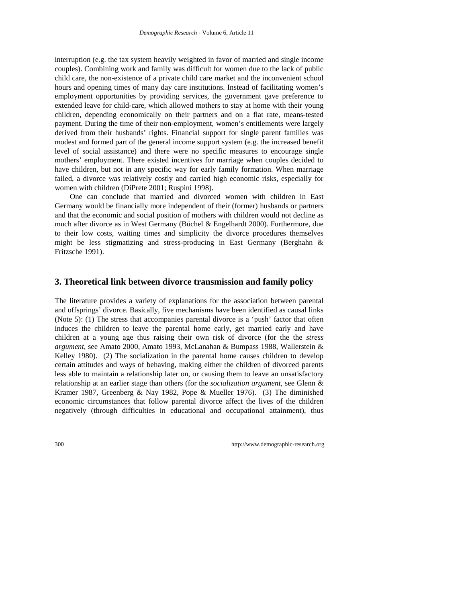interruption (e.g. the tax system heavily weighted in favor of married and single income couples). Combining work and family was difficult for women due to the lack of public child care, the non-existence of a private child care market and the inconvenient school hours and opening times of many day care institutions. Instead of facilitating women's employment opportunities by providing services, the government gave preference to extended leave for child-care, which allowed mothers to stay at home with their young children, depending economically on their partners and on a flat rate, means-tested payment. During the time of their non-employment, women's entitlements were largely derived from their husbands' rights. Financial support for single parent families was modest and formed part of the general income support system (e.g. the increased benefit level of social assistance) and there were no specific measures to encourage single mothers' employment. There existed incentives for marriage when couples decided to have children, but not in any specific way for early family formation. When marriage failed, a divorce was relatively costly and carried high economic risks, especially for women with children (DiPrete 2001; Ruspini 1998).

One can conclude that married and divorced women with children in East Germany would be financially more independent of their (former) husbands or partners and that the economic and social position of mothers with children would not decline as much after divorce as in West Germany (Büchel & Engelhardt 2000). Furthermore, due to their low costs, waiting times and simplicity the divorce procedures themselves might be less stigmatizing and stress-producing in East Germany (Berghahn & Fritzsche 1991).

# **3. Theoretical link between divorce transmission and family policy**

The literature provides a variety of explanations for the association between parental and offsprings' divorce. Basically, five mechanisms have been identified as causal links (Note 5): (1) The stress that accompanies parental divorce is a 'push' factor that often induces the children to leave the parental home early, get married early and have children at a young age thus raising their own risk of divorce (for the the *stress argument,* see Amato 2000, Amato 1993, McLanahan & Bumpass 1988, Wallerstein & Kelley 1980). (2) The socialization in the parental home causes children to develop certain attitudes and ways of behaving, making either the children of divorced parents less able to maintain a relationship later on, or causing them to leave an unsatisfactory relationship at an earlier stage than others (for the *socialization argument,* see Glenn & Kramer 1987, Greenberg & Nay 1982, Pope & Mueller 1976). (3) The diminished economic circumstances that follow parental divorce affect the lives of the children negatively (through difficulties in educational and occupational attainment), thus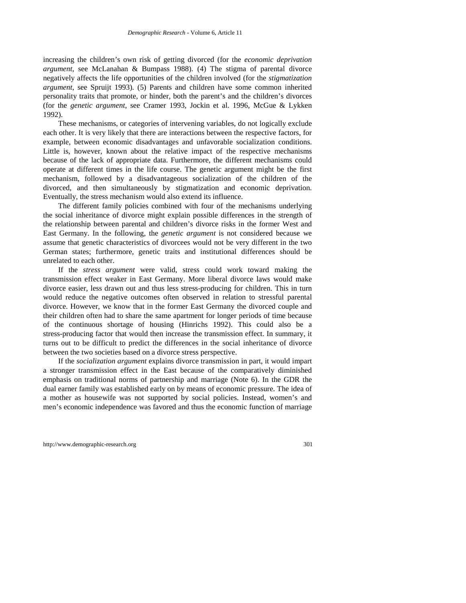increasing the children's own risk of getting divorced (for the *economic deprivation argument*, see McLanahan & Bumpass 1988). (4) The stigma of parental divorce negatively affects the life opportunities of the children involved (for the *stigmatization argument*, see Spruijt 1993). (5) Parents and children have some common inherited personality traits that promote, or hinder, both the parent's and the children's divorces (for the *genetic argument*, see Cramer 1993, Jockin et al. 1996, McGue & Lykken 1992).

These mechanisms, or categories of intervening variables, do not logically exclude each other. It is very likely that there are interactions between the respective factors, for example, between economic disadvantages and unfavorable socialization conditions. Little is, however, known about the relative impact of the respective mechanisms because of the lack of appropriate data. Furthermore, the different mechanisms could operate at different times in the life course. The genetic argument might be the first mechanism, followed by a disadvantageous socialization of the children of the divorced, and then simultaneously by stigmatization and economic deprivation. Eventually, the stress mechanism would also extend its influence.

The different family policies combined with four of the mechanisms underlying the social inheritance of divorce might explain possible differences in the strength of the relationship between parental and children's divorce risks in the former West and East Germany. In the following, the *genetic argument* is not considered because we assume that genetic characteristics of divorcees would not be very different in the two German states; furthermore, genetic traits and institutional differences should be unrelated to each other.

If the *stress argument* were valid, stress could work toward making the transmission effect weaker in East Germany. More liberal divorce laws would make divorce easier, less drawn out and thus less stress-producing for children. This in turn would reduce the negative outcomes often observed in relation to stressful parental divorce. However, we know that in the former East Germany the divorced couple and their children often had to share the same apartment for longer periods of time because of the continuous shortage of housing (Hinrichs 1992). This could also be a stress-producing factor that would then increase the transmission effect. In summary, it turns out to be difficult to predict the differences in the social inheritance of divorce between the two societies based on a divorce stress perspective.

If the *socialization argument* explains divorce transmission in part, it would impart a stronger transmission effect in the East because of the comparatively diminished emphasis on traditional norms of partnership and marriage (Note 6). In the GDR the dual earner family was established early on by means of economic pressure. The idea of a mother as housewife was not supported by social policies. Instead, women's and men's economic independence was favored and thus the economic function of marriage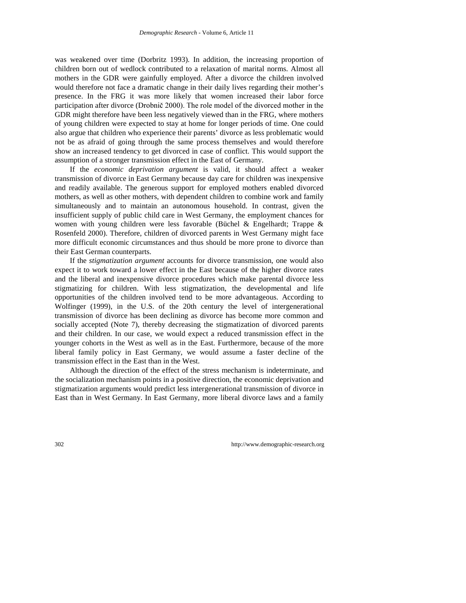was weakened over time (Dorbritz 1993). In addition, the increasing proportion of children born out of wedlock contributed to a relaxation of marital norms. Almost all mothers in the GDR were gainfully employed. After a divorce the children involved would therefore not face a dramatic change in their daily lives regarding their mother's presence. In the FRG it was more likely that women increased their labor force participation after divorce (Drobnič 2000). The role model of the divorced mother in the GDR might therefore have been less negatively viewed than in the FRG, where mothers of young children were expected to stay at home for longer periods of time. One could also argue that children who experience their parents' divorce as less problematic would not be as afraid of going through the same process themselves and would therefore show an increased tendency to get divorced in case of conflict. This would support the assumption of a stronger transmission effect in the East of Germany.

If the *economic deprivation argument* is valid, it should affect a weaker transmission of divorce in East Germany because day care for children was inexpensive and readily available. The generous support for employed mothers enabled divorced mothers, as well as other mothers, with dependent children to combine work and family simultaneously and to maintain an autonomous household. In contrast, given the insufficient supply of public child care in West Germany, the employment chances for women with young children were less favorable (Büchel & Engelhardt; Trappe & Rosenfeld 2000). Therefore, children of divorced parents in West Germany might face more difficult economic circumstances and thus should be more prone to divorce than their East German counterparts.

If the *stigmatization argument* accounts for divorce transmission, one would also expect it to work toward a lower effect in the East because of the higher divorce rates and the liberal and inexpensive divorce procedures which make parental divorce less stigmatizing for children. With less stigmatization, the developmental and life opportunities of the children involved tend to be more advantageous. According to Wolfinger (1999), in the U.S. of the 20th century the level of intergenerational transmission of divorce has been declining as divorce has become more common and socially accepted (Note 7), thereby decreasing the stigmatization of divorced parents and their children. In our case, we would expect a reduced transmission effect in the younger cohorts in the West as well as in the East. Furthermore, because of the more liberal family policy in East Germany, we would assume a faster decline of the transmission effect in the East than in the West.

Although the direction of the effect of the stress mechanism is indeterminate, and the socialization mechanism points in a positive direction, the economic deprivation and stigmatization arguments would predict less intergenerational transmission of divorce in East than in West Germany. In East Germany, more liberal divorce laws and a family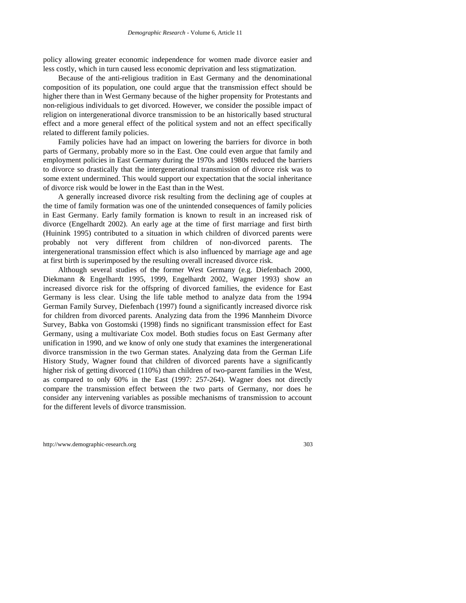policy allowing greater economic independence for women made divorce easier and less costly, which in turn caused less economic deprivation and less stigmatization.

Because of the anti-religious tradition in East Germany and the denominational composition of its population, one could argue that the transmission effect should be higher there than in West Germany because of the higher propensity for Protestants and non-religious individuals to get divorced. However, we consider the possible impact of religion on intergenerational divorce transmission to be an historically based structural effect and a more general effect of the political system and not an effect specifically related to different family policies.

Family policies have had an impact on lowering the barriers for divorce in both parts of Germany, probably more so in the East. One could even argue that family and employment policies in East Germany during the 1970s and 1980s reduced the barriers to divorce so drastically that the intergenerational transmission of divorce risk was to some extent undermined. This would support our expectation that the social inheritance of divorce risk would be lower in the East than in the West.

A generally increased divorce risk resulting from the declining age of couples at the time of family formation was one of the unintended consequences of family policies in East Germany. Early family formation is known to result in an increased risk of divorce (Engelhardt 2002). An early age at the time of first marriage and first birth (Huinink 1995) contributed to a situation in which children of divorced parents were probably not very different from children of non-divorced parents. The intergenerational transmission effect which is also influenced by marriage age and age at first birth is superimposed by the resulting overall increased divorce risk.

Although several studies of the former West Germany (e.g. Diefenbach 2000, Diekmann & Engelhardt 1995, 1999, Engelhardt 2002, Wagner 1993) show an increased divorce risk for the offspring of divorced families, the evidence for East Germany is less clear. Using the life table method to analyze data from the 1994 German Family Survey, Diefenbach (1997) found a significantly increased divorce risk for children from divorced parents. Analyzing data from the 1996 Mannheim Divorce Survey, Babka von Gostomski (1998) finds no significant transmission effect for East Germany, using a multivariate Cox model. Both studies focus on East Germany after unification in 1990, and we know of only one study that examines the intergenerational divorce transmission in the two German states. Analyzing data from the German Life History Study, Wagner found that children of divorced parents have a significantly higher risk of getting divorced (110%) than children of two-parent families in the West, as compared to only 60% in the East (1997: 257-264). Wagner does not directly compare the transmission effect between the two parts of Germany, nor does he consider any intervening variables as possible mechanisms of transmission to account for the different levels of divorce transmission.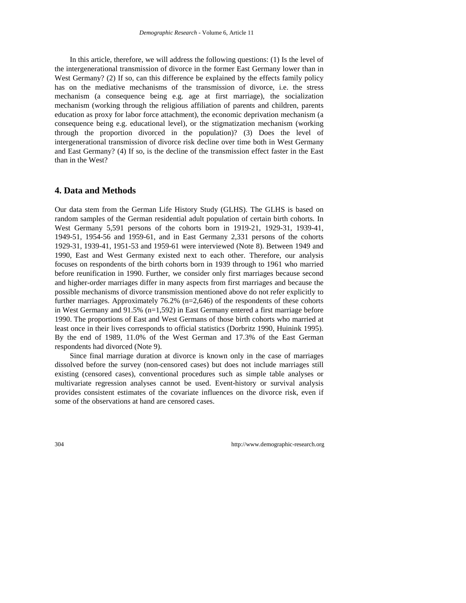In this article, therefore, we will address the following questions: (1) Is the level of the intergenerational transmission of divorce in the former East Germany lower than in West Germany? (2) If so, can this difference be explained by the effects family policy has on the mediative mechanisms of the transmission of divorce, i.e. the stress mechanism (a consequence being e.g. age at first marriage), the socialization mechanism (working through the religious affiliation of parents and children, parents education as proxy for labor force attachment), the economic deprivation mechanism (a consequence being e.g. educational level), or the stigmatization mechanism (working through the proportion divorced in the population)? (3) Does the level of intergenerational transmission of divorce risk decline over time both in West Germany and East Germany? (4) If so, is the decline of the transmission effect faster in the East than in the West?

# **4. Data and Methods**

Our data stem from the German Life History Study (GLHS). The GLHS is based on random samples of the German residential adult population of certain birth cohorts. In West Germany 5,591 persons of the cohorts born in 1919-21, 1929-31, 1939-41, 1949-51, 1954-56 and 1959-61, and in East Germany 2,331 persons of the cohorts 1929-31, 1939-41, 1951-53 and 1959-61 were interviewed (Note 8). Between 1949 and 1990, East and West Germany existed next to each other. Therefore, our analysis focuses on respondents of the birth cohorts born in 1939 through to 1961 who married before reunification in 1990. Further, we consider only first marriages because second and higher-order marriages differ in many aspects from first marriages and because the possible mechanisms of divorce transmission mentioned above do not refer explicitly to further marriages. Approximately 76.2% (n=2,646) of the respondents of these cohorts in West Germany and 91.5% (n=1,592) in East Germany entered a first marriage before 1990. The proportions of East and West Germans of those birth cohorts who married at least once in their lives corresponds to official statistics (Dorbritz 1990, Huinink 1995). By the end of 1989, 11.0% of the West German and 17.3% of the East German respondents had divorced (Note 9).

Since final marriage duration at divorce is known only in the case of marriages dissolved before the survey (non-censored cases) but does not include marriages still existing (censored cases), conventional procedures such as simple table analyses or multivariate regression analyses cannot be used. Event-history or survival analysis provides consistent estimates of the covariate influences on the divorce risk, even if some of the observations at hand are censored cases.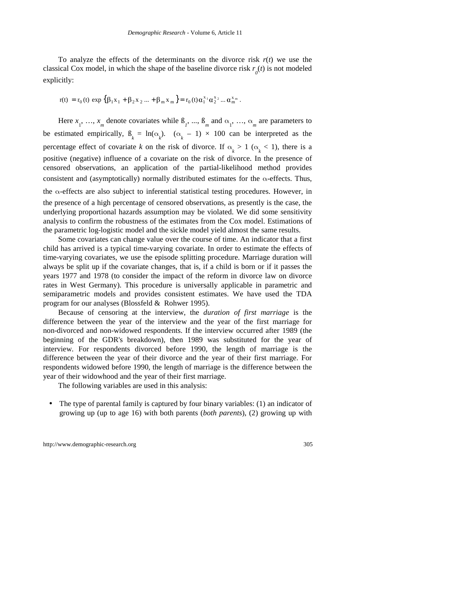To analyze the effects of the determinants on the divorce risk  $r(t)$  we use the classical Cox model, in which the shape of the baseline divorce risk  $r<sub>0</sub>(t)$  is not modeled explicitly:

$$
r(t) = r_0(t) \exp \left\{ \beta_1 x_1 + \beta_2 x_2 ... + \beta_m x_m \right\} = r_0(t) \alpha_1^{x_1} \alpha_2^{x_2} ... \alpha_m^{x_m}.
$$

Here  $x_1, \ldots, x_m$  denote covariates while  $\beta_1, \ldots, \beta_m$  and  $\alpha_1, \ldots, \alpha_m$  are parameters to be estimated empirically,  $\beta_k = \ln(\alpha_k)$ .  $(\alpha_k - 1) \times 100$  can be interpreted as the percentage effect of covariate *k* on the risk of divorce. If  $\alpha_k > 1$  ( $\alpha_k < 1$ ), there is a positive (negative) influence of a covariate on the risk of divorce. In the presence of censored observations, an application of the partial-likelihood method provides consistent and (asymptotically) normally distributed estimates for the  $\alpha$ -effects. Thus, the  $\alpha$ -effects are also subject to inferential statistical testing procedures. However, in the presence of a high percentage of censored observations, as presently is the case, the underlying proportional hazards assumption may be violated. We did some sensitivity analysis to confirm the robustness of the estimates from the Cox model. Estimations of the parametric log-logistic model and the sickle model yield almost the same results.

Some covariates can change value over the course of time. An indicator that a first child has arrived is a typical time-varying covariate. In order to estimate the effects of time-varying covariates, we use the episode splitting procedure. Marriage duration will always be split up if the covariate changes, that is, if a child is born or if it passes the years 1977 and 1978 (to consider the impact of the reform in divorce law on divorce rates in West Germany). This procedure is universally applicable in parametric and semiparametric models and provides consistent estimates. We have used the TDA program for our analyses (Blossfeld & Rohwer 1995).

Because of censoring at the interview, the *duration of first marriage* is the difference between the year of the interview and the year of the first marriage for non-divorced and non-widowed respondents. If the interview occurred after 1989 (the beginning of the GDR's breakdown), then 1989 was substituted for the year of interview. For respondents divorced before 1990, the length of marriage is the difference between the year of their divorce and the year of their first marriage. For respondents widowed before 1990, the length of marriage is the difference between the year of their widowhood and the year of their first marriage.

The following variables are used in this analysis:

• The type of parental family is captured by four binary variables: (1) an indicator of growing up (up to age 16) with both parents (*both parents*), (2) growing up with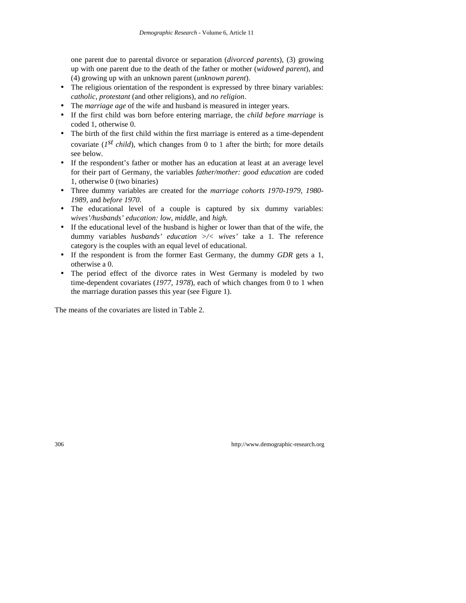one parent due to parental divorce or separation (*divorced parents*), (3) growing up with one parent due to the death of the father or mother (*widowed parent*), and (4) growing up with an unknown parent (*unknown parent*).

- The religious orientation of the respondent is expressed by three binary variables: *catholic*, *protestant* (and other religions), and *no religion*.
- The *marriage age* of the wife and husband is measured in integer years.
- If the first child was born before entering marriage, the *child before marriage* is coded 1, otherwise 0.
- The birth of the first child within the first marriage is entered as a time-dependent covariate ( $I^{st}$  *child*), which changes from 0 to 1 after the birth; for more details see below.
- If the respondent's father or mother has an education at least at an average level for their part of Germany, the variables *father/mother: good education* are coded 1, otherwise 0 (two binaries)
- Three dummy variables are created for the *marriage cohorts 1970-1979, 1980- 1989,* and *before 1970*.
- The educational level of a couple is captured by six dummy variables: *wives'/husbands' education: low, middle,* and *high.*
- If the educational level of the husband is higher or lower than that of the wife, the dummy variables *husbands' education >/< wives'* take a 1. The reference category is the couples with an equal level of educational.
- If the respondent is from the former East Germany, the dummy *GDR* gets a 1, otherwise a 0.
- The period effect of the divorce rates in West Germany is modeled by two time-dependent covariates (*1977, 1978*), each of which changes from 0 to 1 when the marriage duration passes this year (see Figure 1).

The means of the covariates are listed in Table 2.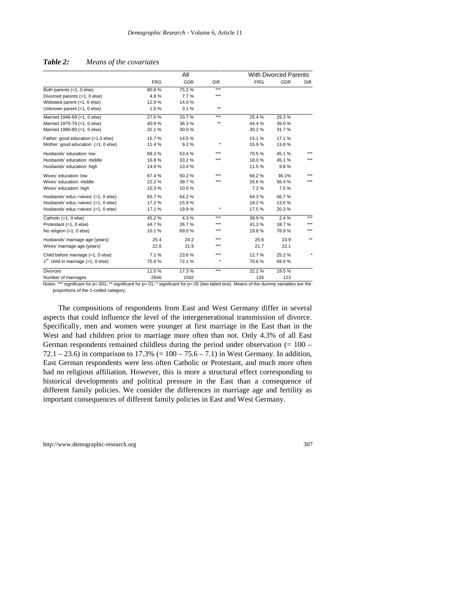|                                                                                                                                                            |            | All        |              |            | With Divorced Parents |              |
|------------------------------------------------------------------------------------------------------------------------------------------------------------|------------|------------|--------------|------------|-----------------------|--------------|
|                                                                                                                                                            | <b>FRG</b> | <b>GDR</b> | Diff.        | <b>FRG</b> | <b>GDR</b>            | Diff.        |
| Both parents (=1, 0 else)                                                                                                                                  | 80.8%      | 75.2%      | $***$        |            |                       |              |
| Divorced parents (=1, 0 else)                                                                                                                              | 4.8%       | 7.7%       | ***          |            |                       |              |
| Widowed parent (=1, 0 else)                                                                                                                                | 12.9%      | 14.0%      |              |            |                       |              |
| Unknown parent (=1, 0 else)                                                                                                                                | 1.5%       | 3.1%       | $\star\star$ |            |                       |              |
| Married 1946-69 (=1, 0 else)                                                                                                                               | 27.0%      | 33.7%      | $***$        | 25.4%      | 29.3%                 |              |
| Married 1970-79 (=1, 0 else)                                                                                                                               | 40.9%      | 36.3%      | $\star\star$ | 44.4 %     | 39.0%                 |              |
| Married 1980-89 (=1, 0 else)                                                                                                                               | 32.1%      | 30.0%      |              | 30.2%      | 31.7%                 |              |
| Father: good education (=1,0 else)                                                                                                                         | 15.7%      | 14.5%      |              | 15.1%      | 17.1%                 |              |
| Mother: good education (=1, 0 else)                                                                                                                        | 11.4%      | 9.2%       | $\star$      | 15.9%      | 13.8%                 |              |
| Husbands' education: low                                                                                                                                   | 68.3%      | 53.4%      | $***$        | 70.5%      | 45.1%                 | $***$        |
| Husbands' education: middle                                                                                                                                | 16.8%      | 33.2%      | ***          | 18.0%      | 45.1%                 | $***$        |
| Husbands' education: high                                                                                                                                  | 14.9%      | 13.4 %     |              | 11.5 %     | 9.8%                  |              |
| Wives' education: low                                                                                                                                      | 67.4%      | 50.2%      | $***$        | 66.2%      | 36.1%                 | $***$        |
| Wives' education: middle                                                                                                                                   | 22.2%      | 39.7%      | ***          | 26.6%      | 56.4%                 | $***$        |
| Wives' education: high                                                                                                                                     | 10.3%      | 10.0%      |              | 7.2%       | 7.5%                  |              |
| Husbands' educ.=wives' (=1, 0 else)                                                                                                                        | 65.7%      | 64.2%      |              | 64.3%      | 66.7%                 |              |
| Husbands' educ.>wives' (=1, 0 else)                                                                                                                        | 17.2%      | 15.9%      |              | 18.2%      | 13.0%                 |              |
| Husbands' educ. <wives' (="1," 0="" else)<="" td=""><td>17.1%</td><td>19.9%</td><td><math>\star</math></td><td>17.5 %</td><td>20.3%</td><td></td></wives'> | 17.1%      | 19.9%      | $\star$      | 17.5 %     | 20.3%                 |              |
| Catholic (=1, 0 else)                                                                                                                                      | 45.2%      | 4.3%       | $***$        | 38.9%      | 2.4%                  | $***$        |
| Protestant (=1, 0 else)                                                                                                                                    | 44.7%      | 26.7%      | $***$        | 41.3%      | 18.7%                 | $***$        |
| No religion (=1, 0 else)                                                                                                                                   | 10.1%      | 69.0%      | ***          | 19.8%      | 78.9%                 | $***$        |
| Husbands' marriage age (years)                                                                                                                             | 25.4       | 24.2       | $***$        | 25.6       | 23.9                  | $\star\star$ |
| Wives' marriage age (years)                                                                                                                                | 22.6       | 21.9       | $***$        | 21.7       | 22.1                  |              |
| Child before marriage (=1, 0 else)                                                                                                                         | 7.1%       | 23.6%      | $***$        | 12.7%      | 25.2%                 |              |
| $1st$ child in marriage (=1, 0 else)                                                                                                                       | 75.6%      | 72.1%      | $\star$      | 70.6%      | 69.9%                 |              |
| <b>Divorces</b>                                                                                                                                            | 11.0%      | 17.3%      | ***          | 22.2%      | 19.5%                 |              |
| Number of marriages                                                                                                                                        | 2646       | 1592       |              | 126        | 123                   |              |

#### *Table 2: Means of the covariates*

Notes: \*\*\* significant for p=.001; \*\* significant for p=.01; \* significant for p=.05 (two tailed test). Means of the dummy variables are the proportions of the 1-coded category.

The compositions of respondents from East and West Germany differ in several aspects that could influence the level of the intergenerational transmission of divorce. Specifically, men and women were younger at first marriage in the East than in the West and had children prior to marriage more often than not. Only 4.3% of all East German respondents remained childless during the period under observation  $(= 100 -$ 72.1 – 23.6) in comparison to 17.3% (=  $100 - 75.6 - 7.1$ ) in West Germany. In addition, East German respondents were less often Catholic or Protestant, and much more often had no religious affiliation. However, this is more a structural effect corresponding to historical developments and political pressure in the East than a consequence of different family policies. We consider the differences in marriage age and fertility as important consequences of different family policies in East and West Germany.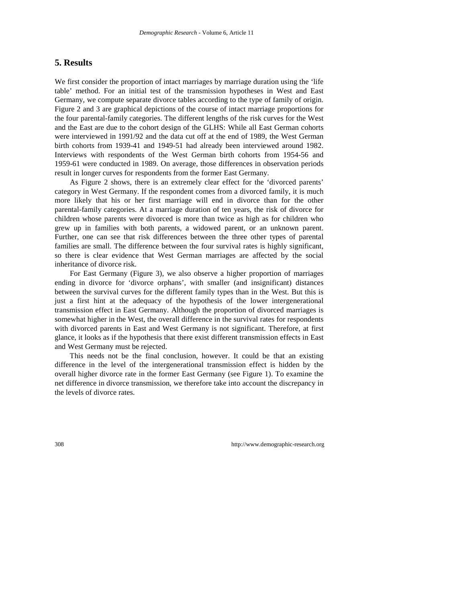# **5. Results**

We first consider the proportion of intact marriages by marriage duration using the 'life table' method. For an initial test of the transmission hypotheses in West and East Germany, we compute separate divorce tables according to the type of family of origin. Figure 2 and 3 are graphical depictions of the course of intact marriage proportions for the four parental-family categories. The different lengths of the risk curves for the West and the East are due to the cohort design of the GLHS: While all East German cohorts were interviewed in 1991/92 and the data cut off at the end of 1989, the West German birth cohorts from 1939-41 and 1949-51 had already been interviewed around 1982. Interviews with respondents of the West German birth cohorts from 1954-56 and 1959-61 were conducted in 1989. On average, those differences in observation periods result in longer curves for respondents from the former East Germany.

As Figure 2 shows, there is an extremely clear effect for the 'divorced parents' category in West Germany. If the respondent comes from a divorced family, it is much more likely that his or her first marriage will end in divorce than for the other parental-family categories. At a marriage duration of ten years, the risk of divorce for children whose parents were divorced is more than twice as high as for children who grew up in families with both parents, a widowed parent, or an unknown parent. Further, one can see that risk differences between the three other types of parental families are small. The difference between the four survival rates is highly significant, so there is clear evidence that West German marriages are affected by the social inheritance of divorce risk.

For East Germany (Figure 3), we also observe a higher proportion of marriages ending in divorce for 'divorce orphans', with smaller (and insignificant) distances between the survival curves for the different family types than in the West. But this is just a first hint at the adequacy of the hypothesis of the lower intergenerational transmission effect in East Germany. Although the proportion of divorced marriages is somewhat higher in the West, the overall difference in the survival rates for respondents with divorced parents in East and West Germany is not significant. Therefore, at first glance, it looks as if the hypothesis that there exist different transmission effects in East and West Germany must be rejected.

This needs not be the final conclusion, however. It could be that an existing difference in the level of the intergenerational transmission effect is hidden by the overall higher divorce rate in the former East Germany (see Figure 1). To examine the net difference in divorce transmission, we therefore take into account the discrepancy in the levels of divorce rates.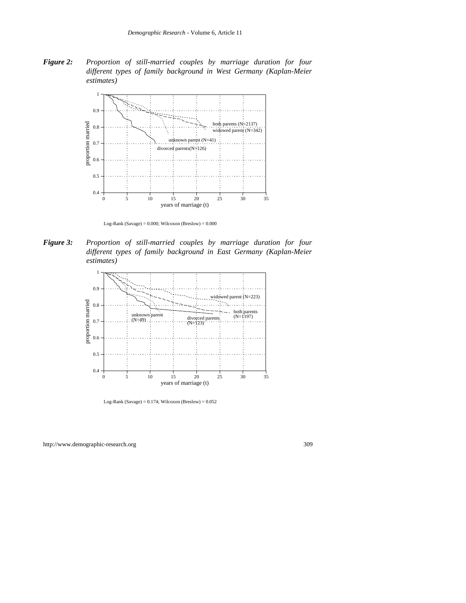*Figure 2: Proportion of still-married couples by marriage duration for four different types of family background in West Germany (Kaplan-Meier estimates)*



Log-Rank (Savage) =  $0.000$ ; Wilcoxon (Breslow) =  $0.000$ 

*Figure 3: Proportion of still-married couples by marriage duration for four different types of family background in East Germany (Kaplan-Meier estimates)*



Log-Rank (Savage) =  $0.174$ ; Wilcoxon (Breslow) =  $0.052$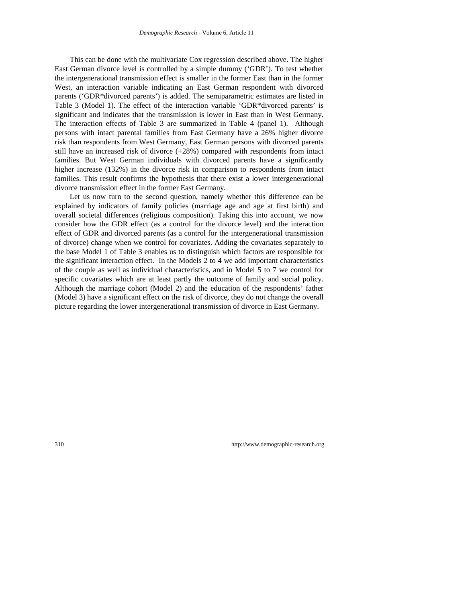This can be done with the multivariate Cox regression described above. The higher East German divorce level is controlled by a simple dummy ('GDR'). To test whether the intergenerational transmission effect is smaller in the former East than in the former West, an interaction variable indicating an East German respondent with divorced parents ('GDR\*divorced parents') is added. The semiparametric estimates are listed in Table 3 (Model 1). The effect of the interaction variable 'GDR\*divorced parents' is significant and indicates that the transmission is lower in East than in West Germany. The interaction effects of Table 3 are summarized in Table 4 (panel 1). Although persons with intact parental families from East Germany have a 26% higher divorce risk than respondents from West Germany, East German persons with divorced parents still have an increased risk of divorce (+28%) compared with respondents from intact families. But West German individuals with divorced parents have a significantly higher increase (132%) in the divorce risk in comparison to respondents from intact families. This result confirms the hypothesis that there exist a lower intergenerational divorce transmission effect in the former East Germany.

Let us now turn to the second question, namely whether this difference can be explained by indicators of family policies (marriage age and age at first birth) and overall societal differences (religious composition). Taking this into account, we now consider how the GDR effect (as a control for the divorce level) and the interaction effect of GDR and divorced parents (as a control for the intergenerational transmission of divorce) change when we control for covariates. Adding the covariates separately to the base Model 1 of Table 3 enables us to distinguish which factors are responsible for the significant interaction effect. In the Models 2 to 4 we add important characteristics of the couple as well as individual characteristics, and in Model 5 to 7 we control for specific covariates which are at least partly the outcome of family and social policy. Although the marriage cohort (Model 2) and the education of the respondents' father (Model 3) have a significant effect on the risk of divorce, they do not change the overall picture regarding the lower intergenerational transmission of divorce in East Germany.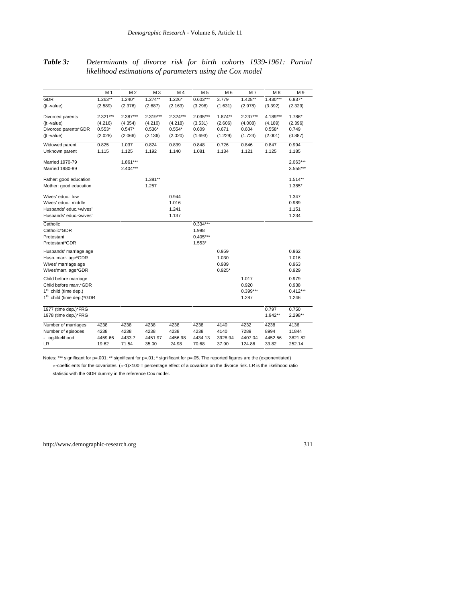# *Table 3: Determinants of divorce risk for birth cohorts 1939-1961: Partial likelihood estimations of parameters using the Cox model*

|                                                                                                                                      | M 1        | M <sub>2</sub> | M <sub>3</sub> | M 4        | M <sub>5</sub> | M 6       | M7         | M 8        | M 9        |
|--------------------------------------------------------------------------------------------------------------------------------------|------------|----------------|----------------|------------|----------------|-----------|------------|------------|------------|
| <b>GDR</b>                                                                                                                           | $1.263***$ | $1.240*$       | $1.274***$     | $1.226*$   | $0.603***$     | 3.779     | $1.428**$  | $1.430***$ | $6.837*$   |
| ( t -value)                                                                                                                          | (2.589)    | (2.376)        | (2.687)        | (2.163)    | (3.298)        | (1.631)   | (2.978)    | (3.392)    | (2.329)    |
| Divorced parents                                                                                                                     | $2.321***$ | $2.387***$     | $2.319***$     | $2.324***$ | 2.035***       | $1.874**$ | $2.237***$ | 4.189***   | 1.786*     |
| (Itl-value)                                                                                                                          | (4.216)    | (4.354)        | (4.210)        | (4.218)    | (3.531)        | (2.606)   | (4.008)    | (4.189)    | (2.396)    |
| Divorced parents*GDR                                                                                                                 | $0.553*$   | $0.547*$       | $0.536*$       | $0.554*$   | 0.609          | 0.671     | 0.604      | $0.558*$   | 0.749      |
| ( t -value)                                                                                                                          | (2.028)    | (2.066)        | (2.136)        | (2.020)    | (1.693)        | (1.229)   | (1.723)    | (2.001)    | (0.887)    |
| Widowed parent                                                                                                                       | 0.825      | 1.037          | 0.824          | 0.839      | 0.848          | 0.726     | 0.846      | 0.847      | 0.994      |
| Unknown parent                                                                                                                       | 1.115      | 1.125          | 1.192          | 1.140      | 1.081          | 1.134     | 1.121      | 1.125      | 1.185      |
| <b>Married 1970-79</b>                                                                                                               |            | $1.861***$     |                |            |                |           |            |            | 2.063***   |
| <b>Married 1980-89</b>                                                                                                               |            | $2.404***$     |                |            |                |           |            |            | 3.555***   |
| Father: good education                                                                                                               |            |                | $1.381**$      |            |                |           |            |            | $1.514**$  |
| Mother: good education                                                                                                               |            |                | 1.257          |            |                |           |            |            | 1.385*     |
| Wives' educ.: low                                                                                                                    |            |                |                | 0.944      |                |           |            |            | 1.347      |
| Wives' educ.: middle                                                                                                                 |            |                |                | 1.016      |                |           |            |            | 0.989      |
| Husbands' educ.>wives'                                                                                                               |            |                |                | 1.241      |                |           |            |            | 1.151      |
| Husbands' educ. <wives'< td=""><td></td><td></td><td></td><td>1.137</td><td></td><td></td><td></td><td></td><td>1.234</td></wives'<> |            |                |                | 1.137      |                |           |            |            | 1.234      |
| Catholic                                                                                                                             |            |                |                |            | $0.334***$     |           |            |            |            |
| Catholic*GDR                                                                                                                         |            |                |                |            | 1.998          |           |            |            |            |
| Protestant                                                                                                                           |            |                |                |            | $0.405***$     |           |            |            |            |
| Protestant*GDR                                                                                                                       |            |                |                |            | $1.553*$       |           |            |            |            |
| Husbands' marriage age                                                                                                               |            |                |                |            |                | 0.959     |            |            | 0.962      |
| Husb. marr. age*GDR                                                                                                                  |            |                |                |            |                | 1.030     |            |            | 1.016      |
| Wives' marriage age                                                                                                                  |            |                |                |            |                | 0.989     |            |            | 0.963      |
| Wives'marr. age*GDR                                                                                                                  |            |                |                |            |                | $0.925*$  |            |            | 0.929      |
| Child before marriage                                                                                                                |            |                |                |            |                |           | 1.017      |            | 0.979      |
| Child before marr.*GDR                                                                                                               |            |                |                |            |                |           | 0.920      |            | 0.938      |
| 1 <sup>st</sup> child (time dep.)                                                                                                    |            |                |                |            |                |           | $0.399***$ |            | $0.412***$ |
| 1 <sup>st</sup> child (time dep.)*GDR                                                                                                |            |                |                |            |                |           | 1.287      |            | 1.246      |
| 1977 (time dep.)*FRG                                                                                                                 |            |                |                |            |                |           |            | 0.797      | 0.750      |
| 1978 (time dep.)*FRG                                                                                                                 |            |                |                |            |                |           |            | $1.942**$  | 2.298**    |
| Number of marriages                                                                                                                  | 4238       | 4238           | 4238           | 4238       | 4238           | 4140      | 4232       | 4238       | 4136       |
| Number of episodes                                                                                                                   | 4238       | 4238           | 4238           | 4238       | 4238           | 4140      | 7289       | 8994       | 11844      |
| - log-likelihood                                                                                                                     | 4459.66    | 4433.7         | 4451.97        | 4456.98    | 4434.13        | 3928.94   | 4407.04    | 4452.56    | 3821.82    |
| LR.                                                                                                                                  | 19.62      | 71.54          | 35.00          | 24.98      | 70.68          | 37.90     | 124.86     | 33.82      | 252.14     |

Notes: \*\*\* significant for p=.001; \*\* significant for p=.01; \* significant for p=.05. The reported figures are the (exponentiated)

 $\alpha$ -coefficients for the covariates.  $(\alpha$ -1)×100 = percentage effect of a covariate on the divorce risk. LR is the likelihood ratio statistic with the GDR dummy in the reference Cox model.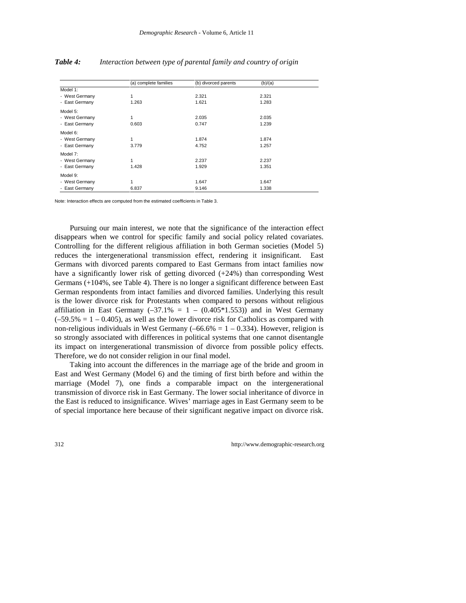|                | (a) complete families | (b) divorced parents | (b)/(a) |  |
|----------------|-----------------------|----------------------|---------|--|
| Model 1:       |                       |                      |         |  |
| - West Germany | 1                     | 2.321                | 2.321   |  |
| - East Germany | 1.263                 | 1.621                | 1.283   |  |
| Model 5:       |                       |                      |         |  |
| - West Germany | 1                     | 2.035                | 2.035   |  |
| - East Germany | 0.603                 | 0.747                | 1.239   |  |
| Model 6:       |                       |                      |         |  |
| - West Germany | 1                     | 1.874                | 1.874   |  |
| - East Germany | 3.779                 | 4.752                | 1.257   |  |
| Model 7:       |                       |                      |         |  |
| - West Germany | 1                     | 2.237                | 2.237   |  |
| - East Germany | 1.428                 | 1.929                | 1.351   |  |
| Model 9:       |                       |                      |         |  |
| - West Germany | 1                     | 1.647                | 1.647   |  |
| - East Germany | 6.837                 | 9.146                | 1.338   |  |

### *Table 4: Interaction between type of parental family and country of origin*

Note: Interaction effects are computed from the estimated coefficients in Table 3.

Pursuing our main interest, we note that the significance of the interaction effect disappears when we control for specific family and social policy related covariates. Controlling for the different religious affiliation in both German societies (Model 5) reduces the intergenerational transmission effect, rendering it insignificant. East Germans with divorced parents compared to East Germans from intact families now have a significantly lower risk of getting divorced (+24%) than corresponding West Germans (+104%, see Table 4). There is no longer a significant difference between East German respondents from intact families and divorced families. Underlying this result is the lower divorce risk for Protestants when compared to persons without religious affiliation in East Germany  $(-37.1\% = 1 - (0.405*1.553))$  and in West Germany  $(-59.5\% = 1 - 0.405)$ , as well as the lower divorce risk for Catholics as compared with non-religious individuals in West Germany  $(-66.6\% = 1 - 0.334)$ . However, religion is so strongly associated with differences in political systems that one cannot disentangle its impact on intergenerational transmission of divorce from possible policy effects. Therefore, we do not consider religion in our final model.

Taking into account the differences in the marriage age of the bride and groom in East and West Germany (Model 6) and the timing of first birth before and within the marriage (Model 7), one finds a comparable impact on the intergenerational transmission of divorce risk in East Germany. The lower social inheritance of divorce in the East is reduced to insignificance. Wives' marriage ages in East Germany seem to be of special importance here because of their significant negative impact on divorce risk.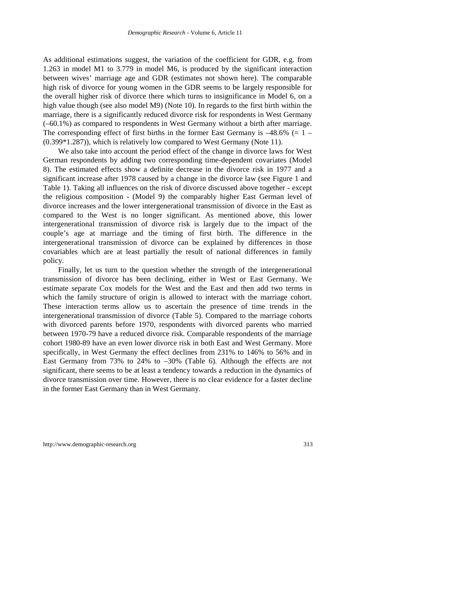As additional estimations suggest, the variation of the coefficient for GDR, e.g. from 1.263 in model M1 to 3.779 in model M6, is produced by the significant interaction between wives' marriage age and GDR (estimates not shown here). The comparable high risk of divorce for young women in the GDR seems to be largely responsible for the overall higher risk of divorce there which turns to insignificance in Model 6, on a high value though (see also model M9) (Note 10). In regards to the first birth within the marriage, there is a significantly reduced divorce risk for respondents in West Germany (–60.1%) as compared to respondents in West Germany without a birth after marriage. The corresponding effect of first births in the former East Germany is  $-48.6\%$  (= 1 – (0.399\*1.287)), which is relatively low compared to West Germany (Note 11).

We also take into account the period effect of the change in divorce laws for West German respondents by adding two corresponding time-dependent covariates (Model 8). The estimated effects show a definite decrease in the divorce risk in 1977 and a significant increase after 1978 caused by a change in the divorce law (see Figure 1 and Table 1). Taking all influences on the risk of divorce discussed above together - except the religious composition - (Model 9) the comparably higher East German level of divorce increases and the lower intergenerational transmission of divorce in the East as compared to the West is no longer significant. As mentioned above, this lower intergenerational transmission of divorce risk is largely due to the impact of the couple's age at marriage and the timing of first birth. The difference in the intergenerational transmission of divorce can be explained by differences in those covariables which are at least partially the result of national differences in family policy.

Finally, let us turn to the question whether the strength of the intergenerational transmission of divorce has been declining, either in West or East Germany. We estimate separate Cox models for the West and the East and then add two terms in which the family structure of origin is allowed to interact with the marriage cohort. These interaction terms allow us to ascertain the presence of time trends in the intergenerational transmission of divorce (Table 5). Compared to the marriage cohorts with divorced parents before 1970, respondents with divorced parents who married between 1970-79 have a reduced divorce risk. Comparable respondents of the marriage cohort 1980-89 have an even lower divorce risk in both East and West Germany. More specifically, in West Germany the effect declines from 231% to 146% to 56% and in East Germany from 73% to 24% to  $-30\%$  (Table 6). Although the effects are not significant, there seems to be at least a tendency towards a reduction in the dynamics of divorce transmission over time. However, there is no clear evidence for a faster decline in the former East Germany than in West Germany.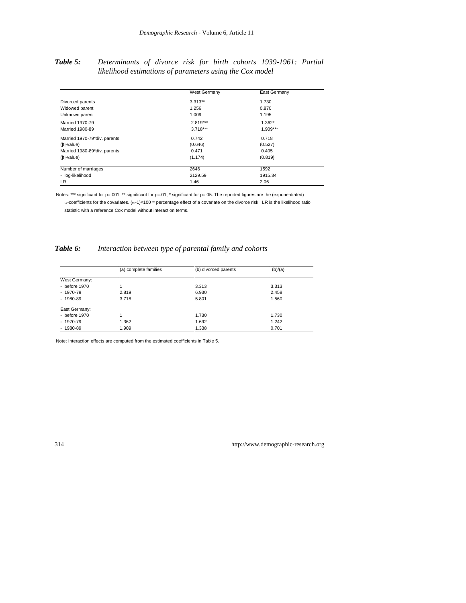### *Table 5: Determinants of divorce risk for birth cohorts 1939-1961: Partial likelihood estimations of parameters using the Cox model*

|                              | West Germany | East Germany |
|------------------------------|--------------|--------------|
| Divorced parents             | $3.313**$    | 1.730        |
| Widowed parent               | 1.256        | 0.870        |
| Unknown parent               | 1.009        | 1.195        |
| Married 1970-79              | $2.819***$   | $1.362*$     |
| Married 1980-89              | $3.718***$   | $1.909***$   |
| Married 1970-79*div. parents | 0.742        | 0.718        |
| ( t -value)                  | (0.646)      | (0.527)      |
| Married 1980-89*div. parents | 0.471        | 0.405        |
| ( t -value)                  | (1.174)      | (0.819)      |
| Number of marriages          | 2646         | 1592         |
| - log-likelihood             | 2129.59      | 1915.34      |
| <b>LR</b>                    | 1.46         | 2.06         |

Notes: \*\*\* significant for p=.001; \*\* significant for p=.01; \* significant for p=.05. The reported figures are the (exponentiated)  $\alpha$ -coefficients for the covariates.  $(\alpha - 1) \times 100 =$  percentage effect of a covariate on the divorce risk. LR is the likelihood ratio statistic with a reference Cox model without interaction terms.

# *Table 6: Interaction between type of parental family and cohorts*

|                 | (a) complete families | (b) divorced parents | (b)/(a) |
|-----------------|-----------------------|----------------------|---------|
| West Germany:   |                       |                      |         |
| - before 1970   |                       | 3.313                | 3.313   |
| $-1970-79$      | 2.819                 | 6.930                | 2.458   |
| $-1980-89$      | 3.718                 | 5.801                | 1.560   |
| East Germany:   |                       |                      |         |
| - before $1970$ |                       | 1.730                | 1.730   |
| - 1970-79       | 1.362                 | 1.692                | 1.242   |
| $-1980-89$      | 1.909                 | 1.338                | 0.701   |

Note: Interaction effects are computed from the estimated coefficients in Table 5.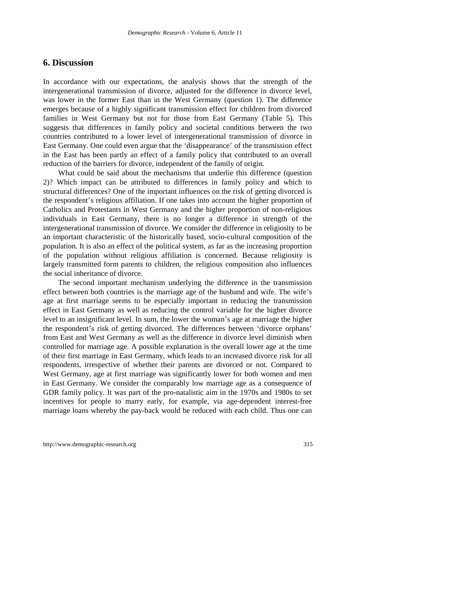#### **6. Discussion**

In accordance with our expectations, the analysis shows that the strength of the intergenerational transmission of divorce, adjusted for the difference in divorce level, was lower in the former East than in the West Germany (question 1). The difference emerges because of a highly significant transmission effect for children from divorced families in West Germany but not for those from East Germany (Table 5). This suggests that differences in family policy and societal conditions between the two countries contributed to a lower level of intergenerational transmission of divorce in East Germany. One could even argue that the 'disappearance' of the transmission effect in the East has been partly an effect of a family policy that contributed to an overall reduction of the barriers for divorce, independent of the family of origin.

What could be said about the mechanisms that underlie this difference (question 2)? Which impact can be attributed to differences in family policy and which to structural differences? One of the important influences on the risk of getting divorced is the respondent's religious affiliation. If one takes into account the higher proportion of Catholics and Protestants in West Germany and the higher proportion of non-religious individuals in East Germany, there is no longer a difference in strength of the intergenerational transmission of divorce. We consider the difference in religiosity to be an important characteristic of the historically based, socio-cultural composition of the population. It is also an effect of the political system, as far as the increasing proportion of the population without religious affiliation is concerned. Because religiosity is largely transmitted form parents to children, the religious composition also influences the social inheritance of divorce.

The second important mechanism underlying the difference in the transmission effect between both countries is the marriage age of the husband and wife. The wife's age at first marriage seems to be especially important in reducing the transmission effect in East Germany as well as reducing the control variable for the higher divorce level to an insignificant level. In sum, the lower the woman's age at marriage the higher the respondent's risk of getting divorced. The differences between 'divorce orphans' from East and West Germany as well as the difference in divorce level diminish when controlled for marriage age. A possible explanation is the overall lower age at the time of their first marriage in East Germany, which leads to an increased divorce risk for all respondents, irrespective of whether their parents are divorced or not. Compared to West Germany, age at first marriage was significantly lower for both women and men in East Germany. We consider the comparably low marriage age as a consequence of GDR family policy. It was part of the pro-natalistic aim in the 1970s and 1980s to set incentives for people to marry early, for example, via age-dependent interest-free marriage loans whereby the pay-back would be reduced with each child. Thus one can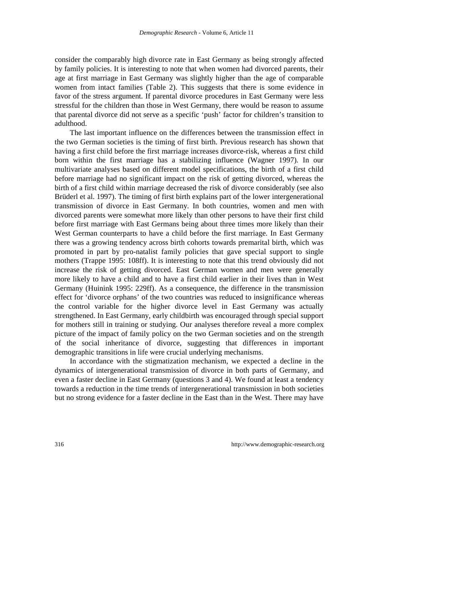consider the comparably high divorce rate in East Germany as being strongly affected by family policies. It is interesting to note that when women had divorced parents, their age at first marriage in East Germany was slightly higher than the age of comparable women from intact families (Table 2). This suggests that there is some evidence in favor of the stress argument. If parental divorce procedures in East Germany were less stressful for the children than those in West Germany, there would be reason to assume that parental divorce did not serve as a specific 'push' factor for children's transition to adulthood.

The last important influence on the differences between the transmission effect in the two German societies is the timing of first birth. Previous research has shown that having a first child before the first marriage increases divorce-risk, whereas a first child born within the first marriage has a stabilizing influence (Wagner 1997). In our multivariate analyses based on different model specifications, the birth of a first child before marriage had no significant impact on the risk of getting divorced, whereas the birth of a first child within marriage decreased the risk of divorce considerably (see also Brüderl et al. 1997). The timing of first birth explains part of the lower intergenerational transmission of divorce in East Germany. In both countries, women and men with divorced parents were somewhat more likely than other persons to have their first child before first marriage with East Germans being about three times more likely than their West German counterparts to have a child before the first marriage. In East Germany there was a growing tendency across birth cohorts towards premarital birth, which was promoted in part by pro-natalist family policies that gave special support to single mothers (Trappe 1995: 108ff). It is interesting to note that this trend obviously did not increase the risk of getting divorced. East German women and men were generally more likely to have a child and to have a first child earlier in their lives than in West Germany (Huinink 1995: 229ff). As a consequence, the difference in the transmission effect for 'divorce orphans' of the two countries was reduced to insignificance whereas the control variable for the higher divorce level in East Germany was actually strengthened. In East Germany, early childbirth was encouraged through special support for mothers still in training or studying. Our analyses therefore reveal a more complex picture of the impact of family policy on the two German societies and on the strength of the social inheritance of divorce, suggesting that differences in important demographic transitions in life were crucial underlying mechanisms.

In accordance with the stigmatization mechanism, we expected a decline in the dynamics of intergenerational transmission of divorce in both parts of Germany, and even a faster decline in East Germany (questions 3 and 4). We found at least a tendency towards a reduction in the time trends of intergenerational transmission in both societies but no strong evidence for a faster decline in the East than in the West. There may have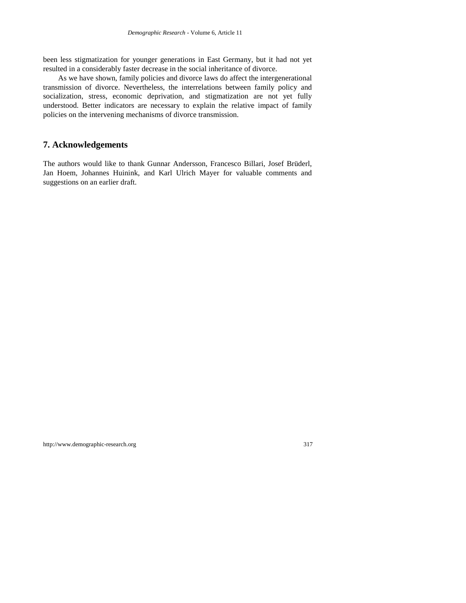been less stigmatization for younger generations in East Germany, but it had not yet resulted in a considerably faster decrease in the social inheritance of divorce.

As we have shown, family policies and divorce laws do affect the intergenerational transmission of divorce. Nevertheless, the interrelations between family policy and socialization, stress, economic deprivation, and stigmatization are not yet fully understood. Better indicators are necessary to explain the relative impact of family policies on the intervening mechanisms of divorce transmission.

# **7. Acknowledgements**

The authors would like to thank Gunnar Andersson, Francesco Billari, Josef Brüderl, Jan Hoem, Johannes Huinink, and Karl Ulrich Mayer for valuable comments and suggestions on an earlier draft.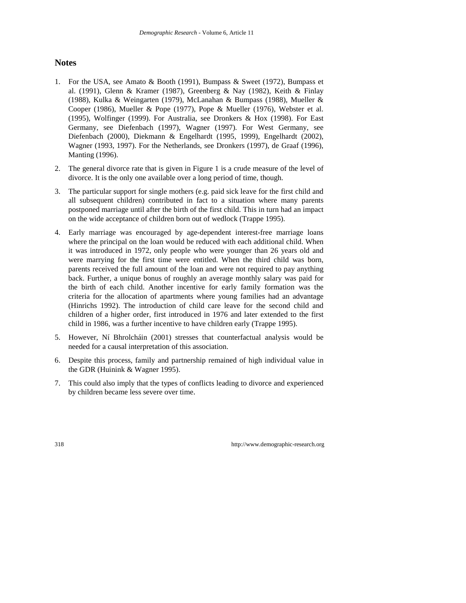# **Notes**

- 1. For the USA, see Amato & Booth (1991), Bumpass & Sweet (1972), Bumpass et al. (1991), Glenn & Kramer (1987), Greenberg & Nay (1982), Keith & Finlay (1988), Kulka & Weingarten (1979), McLanahan & Bumpass (1988), Mueller & Cooper (1986), Mueller & Pope (1977), Pope & Mueller (1976), Webster et al. (1995), Wolfinger (1999). For Australia, see Dronkers & Hox (1998). For East Germany, see Diefenbach (1997), Wagner (1997). For West Germany, see Diefenbach (2000), Diekmann & Engelhardt (1995, 1999), Engelhardt (2002), Wagner (1993, 1997). For the Netherlands, see Dronkers (1997), de Graaf (1996), Manting (1996).
- 2. The general divorce rate that is given in Figure 1 is a crude measure of the level of divorce. It is the only one available over a long period of time, though.
- 3. The particular support for single mothers (e.g. paid sick leave for the first child and all subsequent children) contributed in fact to a situation where many parents postponed marriage until after the birth of the first child. This in turn had an impact on the wide acceptance of children born out of wedlock (Trappe 1995).
- 4. Early marriage was encouraged by age-dependent interest-free marriage loans where the principal on the loan would be reduced with each additional child. When it was introduced in 1972, only people who were younger than 26 years old and were marrying for the first time were entitled. When the third child was born, parents received the full amount of the loan and were not required to pay anything back. Further, a unique bonus of roughly an average monthly salary was paid for the birth of each child. Another incentive for early family formation was the criteria for the allocation of apartments where young families had an advantage (Hinrichs 1992). The introduction of child care leave for the second child and children of a higher order, first introduced in 1976 and later extended to the first child in 1986, was a further incentive to have children early (Trappe 1995).
- 5. However, Ní Bhrolcháin (2001) stresses that counterfactual analysis would be needed for a causal interpretation of this association.
- 6. Despite this process, family and partnership remained of high individual value in the GDR (Huinink & Wagner 1995).
- 7. This could also imply that the types of conflicts leading to divorce and experienced by children became less severe over time.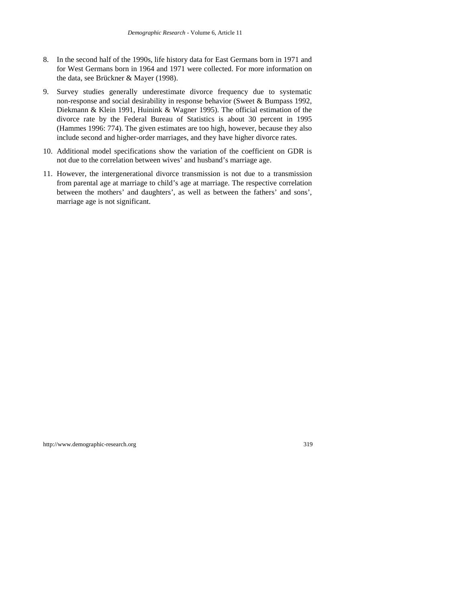- 8. In the second half of the 1990s, life history data for East Germans born in 1971 and for West Germans born in 1964 and 1971 were collected. For more information on the data, see Brückner & Mayer (1998).
- 9. Survey studies generally underestimate divorce frequency due to systematic non-response and social desirability in response behavior (Sweet & Bumpass 1992, Diekmann & Klein 1991, Huinink & Wagner 1995). The official estimation of the divorce rate by the Federal Bureau of Statistics is about 30 percent in 1995 (Hammes 1996: 774). The given estimates are too high, however, because they also include second and higher-order marriages, and they have higher divorce rates.
- 10. Additional model specifications show the variation of the coefficient on GDR is not due to the correlation between wives' and husband's marriage age.
- 11. However, the intergenerational divorce transmission is not due to a transmission from parental age at marriage to child's age at marriage. The respective correlation between the mothers' and daughters', as well as between the fathers' and sons', marriage age is not significant.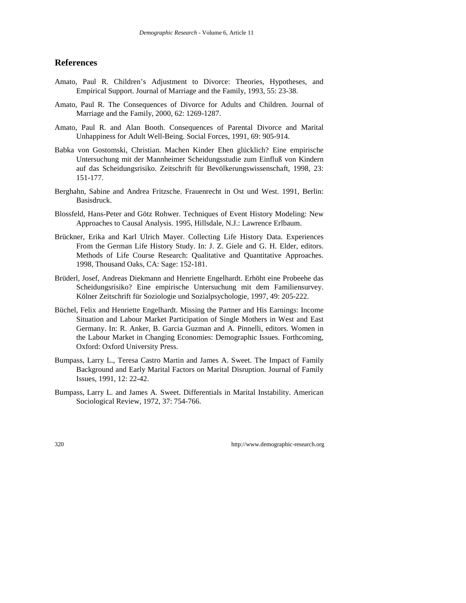## **References**

- Amato, Paul R. Children's Adjustment to Divorce: Theories, Hypotheses, and Empirical Support. Journal of Marriage and the Family, 1993, 55: 23-38.
- Amato, Paul R. The Consequences of Divorce for Adults and Children. Journal of Marriage and the Family, 2000, 62: 1269-1287.
- Amato, Paul R. and Alan Booth. Consequences of Parental Divorce and Marital Unhappiness for Adult Well-Being. Social Forces, 1991, 69: 905-914.
- Babka von Gostomski, Christian. Machen Kinder Ehen glücklich? Eine empirische Untersuchung mit der Mannheimer Scheidungsstudie zum Einfluß von Kindern auf das Scheidungsrisiko. Zeitschrift für Bevölkerungswissenschaft, 1998, 23: 151-177.
- Berghahn, Sabine and Andrea Fritzsche. Frauenrecht in Ost und West. 1991, Berlin: Basisdruck.
- Blossfeld, Hans-Peter and Götz Rohwer. Techniques of Event History Modeling: New Approaches to Causal Analysis. 1995, Hillsdale, N.J.: Lawrence Erlbaum.
- Brückner, Erika and Karl Ulrich Mayer. Collecting Life History Data. Experiences From the German Life History Study. In: J. Z. Giele and G. H. Elder, editors. Methods of Life Course Research: Qualitative and Quantitative Approaches. 1998, Thousand Oaks, CA: Sage: 152-181.
- Brüderl, Josef, Andreas Diekmann and Henriette Engelhardt. Erhöht eine Probeehe das Scheidungsrisiko? Eine empirische Untersuchung mit dem Familiensurvey. Kölner Zeitschrift für Soziologie und Sozialpsychologie, 1997, 49: 205-222.
- Büchel, Felix and Henriette Engelhardt. Missing the Partner and His Earnings: Income Situation and Labour Market Participation of Single Mothers in West and East Germany. In: R. Anker, B. Garcia Guzman and A. Pinnelli, editors. Women in the Labour Market in Changing Economies: Demographic Issues. Forthcoming, Oxford: Oxford University Press.
- Bumpass, Larry L., Teresa Castro Martin and James A. Sweet. The Impact of Family Background and Early Marital Factors on Marital Disruption. Journal of Family Issues, 1991, 12: 22-42.
- Bumpass, Larry L. and James A. Sweet. Differentials in Marital Instability. American Sociological Review, 1972, 37: 754-766.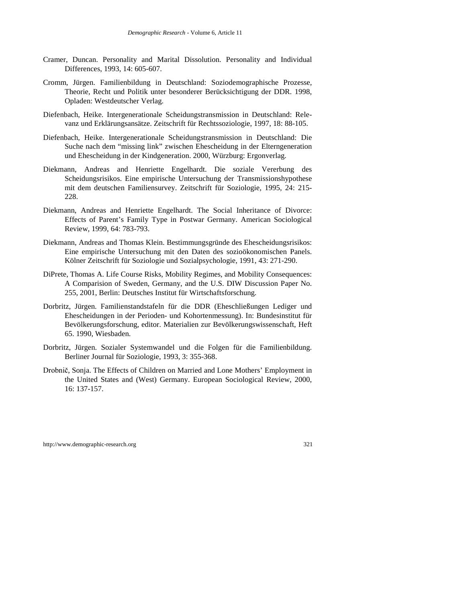- Cramer, Duncan. Personality and Marital Dissolution. Personality and Individual Differences, 1993, 14: 605-607.
- Cromm, Jürgen. Familienbildung in Deutschland: Soziodemographische Prozesse, Theorie, Recht und Politik unter besonderer Berücksichtigung der DDR. 1998, Opladen: Westdeutscher Verlag.
- Diefenbach, Heike. Intergenerationale Scheidungstransmission in Deutschland: Relevanz und Erklärungsansätze. Zeitschrift für Rechtssoziologie, 1997, 18: 88-105.
- Diefenbach, Heike. Intergenerationale Scheidungstransmission in Deutschland: Die Suche nach dem "missing link" zwischen Ehescheidung in der Elterngeneration und Ehescheidung in der Kindgeneration. 2000, Würzburg: Ergonverlag.
- Diekmann, Andreas and Henriette Engelhardt. Die soziale Vererbung des Scheidungsrisikos. Eine empirische Untersuchung der Transmissionshypothese mit dem deutschen Familiensurvey. Zeitschrift für Soziologie, 1995, 24: 215- 228.
- Diekmann, Andreas and Henriette Engelhardt. The Social Inheritance of Divorce: Effects of Parent's Family Type in Postwar Germany. American Sociological Review, 1999, 64: 783-793.
- Diekmann, Andreas and Thomas Klein. Bestimmungsgründe des Ehescheidungsrisikos: Eine empirische Untersuchung mit den Daten des sozioökonomischen Panels. Kölner Zeitschrift für Soziologie und Sozialpsychologie, 1991, 43: 271-290.
- DiPrete, Thomas A. Life Course Risks, Mobility Regimes, and Mobility Consequences: A Comparision of Sweden, Germany, and the U.S. DIW Discussion Paper No. 255, 2001, Berlin: Deutsches Institut für Wirtschaftsforschung.
- Dorbritz, Jürgen. Familienstandstafeln für die DDR (Eheschließungen Lediger und Ehescheidungen in der Perioden- und Kohortenmessung). In: Bundesinstitut für Bevölkerungsforschung, editor. Materialien zur Bevölkerungswissenschaft, Heft 65. 1990, Wiesbaden.
- Dorbritz, Jürgen. Sozialer Systemwandel und die Folgen für die Familienbildung. Berliner Journal für Soziologie, 1993, 3: 355-368.
- Drobnič, Sonja. The Effects of Children on Married and Lone Mothers' Employment in the United States and (West) Germany. European Sociological Review, 2000, 16: 137-157.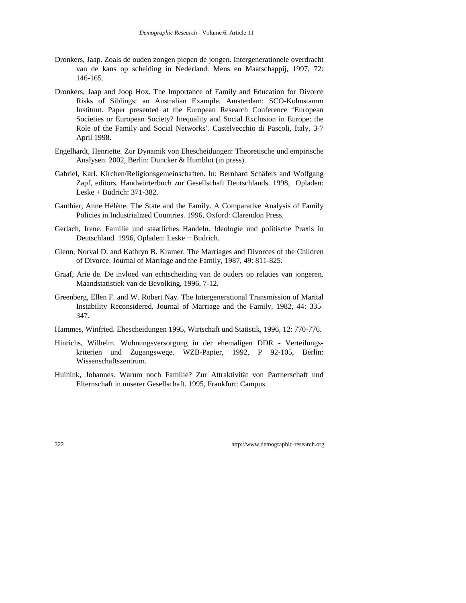- Dronkers, Jaap. Zoals de ouden zongen piepen de jongen. Intergenerationele overdracht van de kans op scheiding in Nederland. Mens en Maatschappij, 1997, 72: 146-165.
- Dronkers, Jaap and Joop Hox. The Importance of Family and Education for Divorce Risks of Siblings: an Australian Example. Amsterdam: SCO-Kohnstamm Instituut. Paper presented at the European Research Conference 'European Societies or European Society? Inequality and Social Exclusion in Europe: the Role of the Family and Social Networks'. Castelvecchio di Pascoli, Italy, 3-7 April 1998.
- Engelhardt, Henriette. Zur Dynamik von Ehescheidungen: Theoretische und empirische Analysen. 2002, Berlin: Duncker & Humblot (in press).
- Gabriel, Karl. Kirchen/Religionsgemeinschaften. In: Bernhard Schäfers and Wolfgang Zapf, editors. Handwörterbuch zur Gesellschaft Deutschlands. 1998, Opladen: Leske + Budrich: 371-382.
- Gauthier, Anne Hélène. The State and the Family. A Comparative Analysis of Family Policies in Industrialized Countries. 1996, Oxford: Clarendon Press.
- Gerlach, Irene. Familie und staatliches Handeln. Ideologie und politische Praxis in Deutschland. 1996, Opladen: Leske + Budrich.
- Glenn, Norval D. and Kathryn B. Kramer. The Marriages and Divorces of the Children of Divorce. Journal of Marriage and the Family, 1987, 49: 811-825.
- Graaf, Arie de. De invloed van echtscheiding van de ouders op relaties van jongeren. Maandstatistiek van de Bevolking, 1996, 7-12.
- Greenberg, Ellen F. and W. Robert Nay. The Intergenerational Transmission of Marital Instability Reconsidered. Journal of Marriage and the Family, 1982, 44: 335- 347.
- Hammes, Winfried. Ehescheidungen 1995, Wirtschaft und Statistik, 1996, 12: 770-776.
- Hinrichs, Wilhelm. Wohnungsversorgung in der ehemaligen DDR Verteilungskriterien und Zugangswege. WZB-Papier, 1992, P 92-105, Berlin: Wissenschaftszentrum.
- Huinink, Johannes. Warum noch Familie? Zur Attraktivität von Partnerschaft und Elternschaft in unserer Gesellschaft. 1995, Frankfurt: Campus.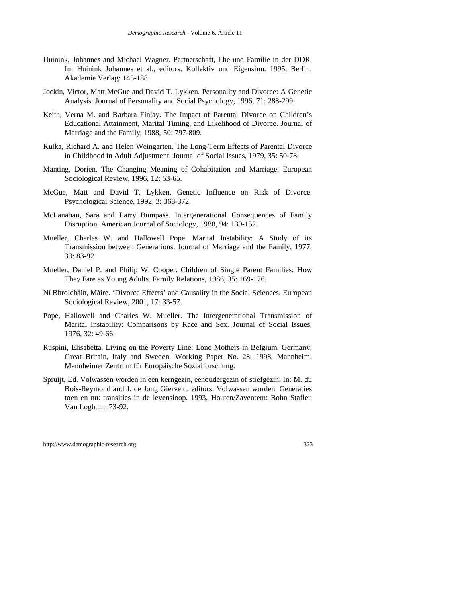- Huinink, Johannes and Michael Wagner. Partnerschaft, Ehe und Familie in der DDR. In: Huinink Johannes et al., editors. Kollektiv und Eigensinn. 1995, Berlin: Akademie Verlag: 145-188.
- Jockin, Victor, Matt McGue and David T. Lykken. Personality and Divorce: A Genetic Analysis. Journal of Personality and Social Psychology, 1996, 71: 288-299.
- Keith, Verna M. and Barbara Finlay. The Impact of Parental Divorce on Children's Educational Attainment, Marital Timing, and Likelihood of Divorce. Journal of Marriage and the Family, 1988, 50: 797-809.
- Kulka, Richard A. and Helen Weingarten. The Long-Term Effects of Parental Divorce in Childhood in Adult Adjustment. Journal of Social Issues, 1979, 35: 50-78.
- Manting, Dorien. The Changing Meaning of Cohabitation and Marriage. European Sociological Review, 1996, 12: 53-65.
- McGue, Matt and David T. Lykken. Genetic Influence on Risk of Divorce. Psychological Science, 1992, 3: 368-372.
- McLanahan, Sara and Larry Bumpass. Intergenerational Consequences of Family Disruption. American Journal of Sociology, 1988, 94: 130-152.
- Mueller, Charles W. and Hallowell Pope. Marital Instability: A Study of its Transmission between Generations. Journal of Marriage and the Family, 1977, 39: 83-92.
- Mueller, Daniel P. and Philip W. Cooper. Children of Single Parent Families: How They Fare as Young Adults. Family Relations, 1986, 35: 169-176.
- Ní Bhrolcháin, Máire. 'Divorce Effects' and Causality in the Social Sciences. European Sociological Review, 2001, 17: 33-57.
- Pope, Hallowell and Charles W. Mueller. The Intergenerational Transmission of Marital Instability: Comparisons by Race and Sex. Journal of Social Issues, 1976, 32: 49-66.
- Ruspini, Elisabetta. Living on the Poverty Line: Lone Mothers in Belgium, Germany, Great Britain, Italy and Sweden. Working Paper No. 28, 1998, Mannheim: Mannheimer Zentrum für Europäische Sozialforschung.
- Spruijt, Ed. Volwassen worden in een kerngezin, eenoudergezin of stiefgezin. In: M. du Bois-Reymond and J. de Jong Gierveld, editors. Volwassen worden. Generaties toen en nu: transities in de levensloop. 1993, Houten/Zaventem: Bohn Stafleu Van Loghum: 73-92.